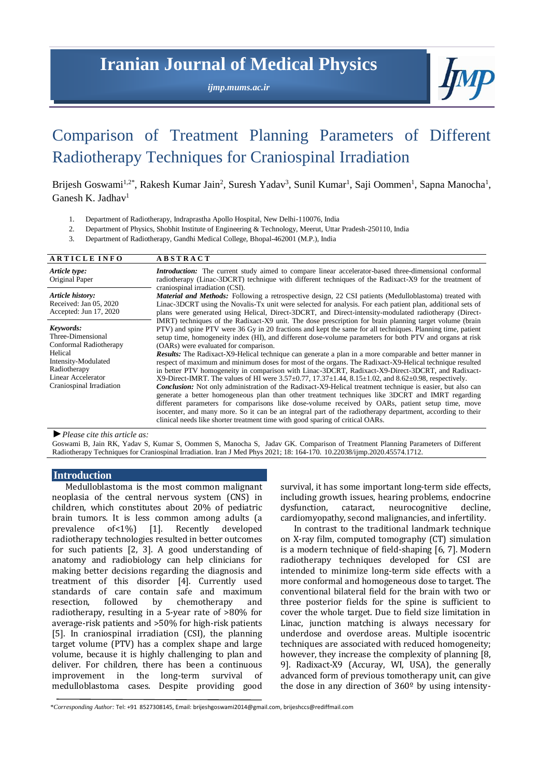## **Iranian Journal of Medical Physics**

*ijmp.mums.ac.ir*



# Comparison of Treatment Planning Parameters of Different Radiotherapy Techniques for Craniospinal Irradiation

Brijesh Goswami<sup>1,2\*</sup>, Rakesh Kumar Jain<sup>2</sup>, Suresh Yadav<sup>3</sup>, Sunil Kumar<sup>1</sup>, Saji Oommen<sup>1</sup>, Sapna Manocha<sup>1</sup>, Ganesh K. Jadhav<sup>1</sup>

- 1. Department of Radiotherapy, Indraprastha Apollo Hospital, New Delhi-110076, India
- 2. Department of Physics, Shobhit Institute of Engineering & Technology, Meerut, Uttar Pradesh-250110, India

3. Department of Radiotherapy, Gandhi Medical College, Bhopal-462001 (M.P.), India

| <b>ARTICLE INFO</b>                                                                                                                                          | <b>ABSTRACT</b>                                                                                                                                                                                                                                                                                                                                                                                                                                                                                                                                                                                                                                                                                                                                                                                                                                                                                                                                                                                                                                                                                                                                                                                                                                                                                                                                    |  |  |  |  |  |  |
|--------------------------------------------------------------------------------------------------------------------------------------------------------------|----------------------------------------------------------------------------------------------------------------------------------------------------------------------------------------------------------------------------------------------------------------------------------------------------------------------------------------------------------------------------------------------------------------------------------------------------------------------------------------------------------------------------------------------------------------------------------------------------------------------------------------------------------------------------------------------------------------------------------------------------------------------------------------------------------------------------------------------------------------------------------------------------------------------------------------------------------------------------------------------------------------------------------------------------------------------------------------------------------------------------------------------------------------------------------------------------------------------------------------------------------------------------------------------------------------------------------------------------|--|--|--|--|--|--|
| Article type:<br>Original Paper                                                                                                                              | <b>Introduction:</b> The current study aimed to compare linear accelerator-based three-dimensional conformal<br>radiotherapy (Linac-3DCRT) technique with different techniques of the Radixact-X9 for the treatment of                                                                                                                                                                                                                                                                                                                                                                                                                                                                                                                                                                                                                                                                                                                                                                                                                                                                                                                                                                                                                                                                                                                             |  |  |  |  |  |  |
| Article history:<br>Received: Jan 05, 2020<br>Accepted: Jun 17, 2020                                                                                         | craniospinal irradiation (CSI).<br><b>Material and Methods:</b> Following a retrospective design, 22 CSI patients (Medulloblastoma) treated with<br>Linac-3DCRT using the Novalis-Tx unit were selected for analysis. For each patient plan, additional sets of<br>plans were generated using Helical, Direct-3DCRT, and Direct-intensity-modulated radiotherapy (Direct-                                                                                                                                                                                                                                                                                                                                                                                                                                                                                                                                                                                                                                                                                                                                                                                                                                                                                                                                                                          |  |  |  |  |  |  |
| Keywords:<br>Three-Dimensional<br>Conformal Radiotherapy<br>Helical<br>Intensity-Modulated<br>Radiotherapy<br>Linear Accelerator<br>Craniospinal Irradiation | IMRT) techniques of the Radixact-X9 unit. The dose prescription for brain planning target volume (brain<br>PTV) and spine PTV were 36 Gy in 20 fractions and kept the same for all techniques. Planning time, patient<br>setup time, homogeneity index (HI), and different dose-volume parameters for both PTV and organs at risk<br>(OARs) were evaluated for comparison.<br><b>Results:</b> The Radixact-X9-Helical technique can generate a plan in a more comparable and better manner in<br>respect of maximum and minimum doses for most of the organs. The Radixact-X9-Helical technique resulted<br>in better PTV homogeneity in comparison with Linac-3DCRT, Radixact-X9-Direct-3DCRT, and Radixact-<br>X9-Direct-IMRT. The values of HI were 3.57±0.77, 17.37±1.44, 8.15±1.02, and 8.62±0.98, respectively.<br><b>Conclusion:</b> Not only administration of the Radixact-X9-Helical treatment technique is easier, but also can<br>generate a better homogeneous plan than other treatment techniques like 3DCRT and IMRT regarding<br>different parameters for comparisons like dose-volume received by OARs, patient setup time, move<br>isocenter, and many more. So it can be an integral part of the radiotherapy department, according to their<br>clinical needs like shorter treatment time with good sparing of critical OARs. |  |  |  |  |  |  |

*►Please cite this article as:*

Goswami B, Jain RK, Yadav S, Kumar S, Oommen S, Manocha S, Jadav GK. Comparison of Treatment Planning Parameters of Different Radiotherapy Techniques for Craniospinal Irradiation. Iran J Med Phys 2021; 18: 164-170. 10.22038/ijmp.2020.45574.1712.

## **Introduction**

Medulloblastoma is the most common malignant neoplasia of the central nervous system (CNS) in children, which constitutes about 20% of pediatric brain tumors. It is less common among adults (a prevalence of<1%) [1]. Recently developed radiotherapy technologies resulted in better outcomes for such patients [2, 3]. A good understanding of anatomy and radiobiology can help clinicians for making better decisions regarding the diagnosis and treatment of this disorder [4]. Currently used standards of care contain safe and maximum resection, followed by chemotherapy and radiotherapy, resulting in a 5-year rate of >80% for average-risk patients and >50% for high-risk patients [5]. In craniospinal irradiation (CSI), the planning target volume (PTV) has a complex shape and large volume, because it is highly challenging to plan and deliver. For children, there has been a continuous improvement in the long-term survival of medulloblastoma cases. Despite providing good

survival, it has some important long-term side effects, including growth issues, hearing problems, endocrine dysfunction, cataract, neurocognitive decline, cardiomyopathy, second malignancies, and infertility.

In contrast to the traditional landmark technique on X-ray film, computed tomography (CT) simulation is a modern technique of field-shaping [6, 7]. Modern radiotherapy techniques developed for CSI are intended to minimize long-term side effects with a more conformal and homogeneous dose to target. The conventional bilateral field for the brain with two or three posterior fields for the spine is sufficient to cover the whole target. Due to field size limitation in Linac, junction matching is always necessary for underdose and overdose areas. Multiple isocentric techniques are associated with reduced homogeneity; however, they increase the complexity of planning [8, 9]. Radixact-X9 (Accuray, WI, USA), the generally advanced form of previous tomotherapy unit, can give the dose in any direction of 360º by using intensity-

<sup>\*</sup>*Corresponding Author:* Tel: +91 8527308145, Email[: brijeshgoswami2014@gmail.com,](mailto:brijeshgoswami2014@gmail.com) brijeshccs@rediffmail.com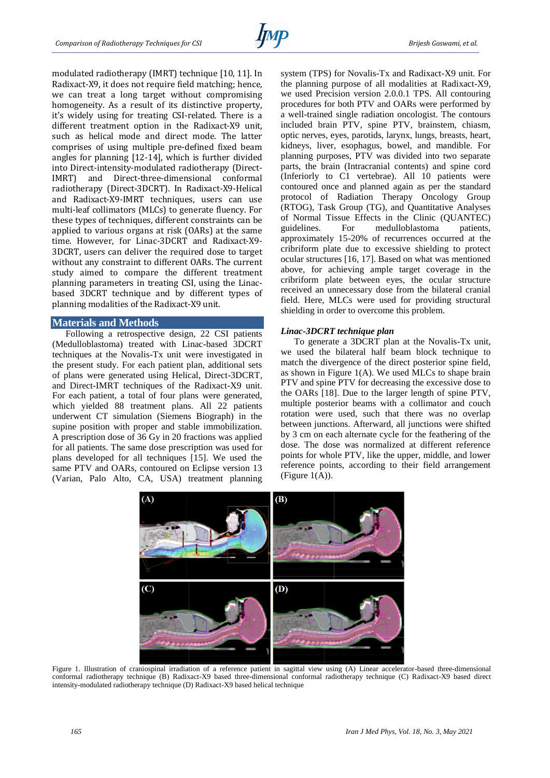

modulated radiotherapy (IMRT) technique [10, 11]. In Radixact-X9, it does not require field matching; hence, we can treat a long target without compromising homogeneity. As a result of its distinctive property, it's widely using for treating CSI-related. There is a different treatment option in the Radixact-X9 unit, such as helical mode and direct mode. The latter comprises of using multiple pre-defined fixed beam angles for planning [12-14], which is further divided into Direct-intensity-modulated radiotherapy (Direct-IMRT) and Direct-three-dimensional conformal radiotherapy (Direct-3DCRT). In Radixact-X9-Helical and Radixact-X9-IMRT techniques, users can use multi-leaf collimators (MLCs) to generate fluency. For these types of techniques, different constraints can be applied to various organs at risk (OARs) at the same time. However, for Linac-3DCRT and Radixact-X9- 3DCRT, users can deliver the required dose to target without any constraint to different OARs. The current study aimed to compare the different treatment planning parameters in treating CSI, using the Linacbased 3DCRT technique and by different types of planning modalities of the Radixact-X9 unit.

#### **Materials and Methods**

Following a retrospective design, 22 CSI patients (Medulloblastoma) treated with Linac-based 3DCRT techniques at the Novalis-Tx unit were investigated in the present study. For each patient plan, additional sets of plans were generated using Helical, Direct-3DCRT, and Direct-IMRT techniques of the Radixact-X9 unit. For each patient, a total of four plans were generated, which yielded 88 treatment plans. All 22 patients underwent CT simulation (Siemens Biograph) in the supine position with proper and stable immobilization. A prescription dose of 36 Gy in 20 fractions was applied for all patients. The same dose prescription was used for plans developed for all techniques [15]. We used the same PTV and OARs, contoured on Eclipse version 13 (Varian, Palo Alto, CA, USA) treatment planning

system (TPS) for Novalis-Tx and Radixact-X9 unit. For the planning purpose of all modalities at Radixact-X9, we used Precision version 2.0.0.1 TPS. All contouring procedures for both PTV and OARs were performed by a well-trained single radiation oncologist. The contours included brain PTV, spine PTV, brainstem, chiasm, optic nerves, eyes, parotids, larynx, lungs, breasts, heart, kidneys, liver, esophagus, bowel, and mandible. For planning purposes, PTV was divided into two separate parts, the brain (Intracranial contents) and spine cord (Inferiorly to C1 vertebrae). All 10 patients were contoured once and planned again as per the standard protocol of Radiation Therapy Oncology Group (RTOG), Task Group (TG), and Quantitative Analyses of Normal Tissue Effects in the Clinic (QUANTEC) guidelines. For medulloblastoma patients, approximately 15-20% of recurrences occurred at the cribriform plate due to excessive shielding to protect ocular structures [16, 17]. Based on what was mentioned above, for achieving ample target coverage in the cribriform plate between eyes, the ocular structure received an unnecessary dose from the bilateral cranial field. Here, MLCs were used for providing structural shielding in order to overcome this problem.

#### *Linac-3DCRT technique plan*

To generate a 3DCRT plan at the Novalis-Tx unit, we used the bilateral half beam block technique to match the divergence of the direct posterior spine field, as shown in Figure 1(A). We used MLCs to shape brain PTV and spine PTV for decreasing the excessive dose to the OARs [18]. Due to the larger length of spine PTV, multiple posterior beams with a collimator and couch rotation were used, such that there was no overlap between junctions. Afterward, all junctions were shifted by 3 cm on each alternate cycle for the feathering of the dose. The dose was normalized at different reference points for whole PTV, like the upper, middle, and lower reference points, according to their field arrangement  $(Figure 1(A)).$ 



Figure 1. Illustration of craniospinal irradiation of a reference patient in sagittal view using (A) Linear accelerator-based three-dimensional conformal radiotherapy technique (B) Radixact-X9 based three-dimensional conformal radiotherapy technique (C) Radixact-X9 based direct intensity-modulated radiotherapy technique (D) Radixact-X9 based helical technique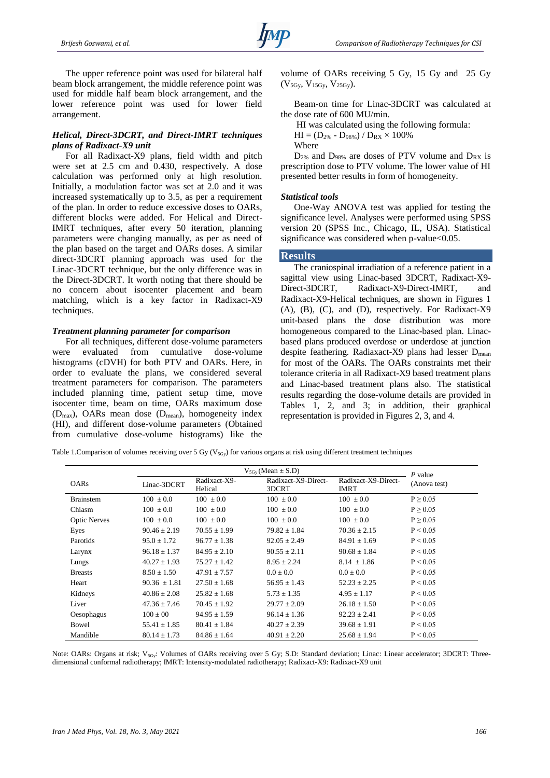The upper reference point was used for bilateral half beam block arrangement, the middle reference point was used for middle half beam block arrangement, and the lower reference point was used for lower field arrangement.

## *Helical, Direct-3DCRT, and Direct-IMRT techniques plans of Radixact-X9 unit*

For all Radixact-X9 plans, field width and pitch were set at 2.5 cm and 0.430, respectively. A dose calculation was performed only at high resolution. Initially, a modulation factor was set at 2.0 and it was increased systematically up to 3.5, as per a requirement of the plan. In order to reduce excessive doses to OARs, different blocks were added. For Helical and Direct-IMRT techniques, after every 50 iteration, planning parameters were changing manually, as per as need of the plan based on the target and OARs doses. A similar direct-3DCRT planning approach was used for the Linac-3DCRT technique, but the only difference was in the Direct-3DCRT. It worth noting that there should be no concern about isocenter placement and beam matching, which is a key factor in Radixact-X9 techniques.

#### *Treatment planning parameter for comparison*

For all techniques, different dose-volume parameters were evaluated from cumulative dose-volume histograms (cDVH) for both PTV and OARs. Here, in order to evaluate the plans, we considered several treatment parameters for comparison. The parameters included planning time, patient setup time, move isocenter time, beam on time, OARs maximum dose  $(D_{\text{max}})$ , OARs mean dose  $(D_{\text{mean}})$ , homogeneity index (HI), and different dose-volume parameters (Obtained from cumulative dose-volume histograms) like the

volume of OARs receiving 5 Gy, 15 Gy and 25 Gy  $(V_{5Gy}, V_{15Gy}, V_{25Gy}).$ 

Beam-on time for Linac-3DCRT was calculated at the dose rate of 600 MU/min.

HI was calculated using the following formula:  $HI = (D_{2\%} - D_{98\%})$  /  $D_{RX} \times 100\%$ 

Where

 $D_{2\%}$  and  $D_{98\%}$  are doses of PTV volume and  $D_{RX}$  is prescription dose to PTV volume. The lower value of HI presented better results in form of homogeneity.

#### *Statistical tools*

One-Way ANOVA test was applied for testing the significance level. Analyses were performed using SPSS version 20 (SPSS Inc., Chicago, IL, USA). Statistical significance was considered when  $p$ -value $< 0.05$ .

#### **Results**

The craniospinal irradiation of a reference patient in a sagittal view using Linac-based 3DCRT, Radixact-X9- Direct-3DCRT, Radixact-X9-Direct-IMRT, and Radixact-X9-Helical techniques, are shown in Figures 1 (A), (B), (C), and (D), respectively. For Radixact-X9 unit-based plans the dose distribution was more homogeneous compared to the Linac-based plan. Linacbased plans produced overdose or underdose at junction despite feathering. Radiaxact-X9 plans had lesser  $D_{mean}$ for most of the OARs. The OARs constraints met their tolerance criteria in all Radixact-X9 based treatment plans and Linac-based treatment plans also. The statistical results regarding the dose-volume details are provided in Tables 1, 2, and 3; in addition, their graphical representation is provided in Figures 2, 3, and 4.

Table 1. Comparison of volumes receiving over 5 Gy ( $V_{5Gy}$ ) for various organs at risk using different treatment techniques

|                     | $V_{5Gv}$ (Mean $\pm$ S.D) |                         |                              |                                    | $P$ value     |
|---------------------|----------------------------|-------------------------|------------------------------|------------------------------------|---------------|
| <b>OARs</b>         | Linac-3DCRT                | Radixact-X9-<br>Helical | Radixact-X9-Direct-<br>3DCRT | Radixact-X9-Direct-<br><b>IMRT</b> | (Anova test)  |
| <b>Brainstem</b>    | $100 \pm 0.0$              | $100 \pm 0.0$           | $100 \pm 0.0$                | $100 \pm 0.0$                      | P > 0.05      |
| Chiasm              | $100 \pm 0.0$              | $100 \pm 0.0$           | $100 \pm 0.0$                | $100 \pm 0.0$                      | $P \geq 0.05$ |
| <b>Optic Nerves</b> | $100 \pm 0.0$              | $100 \pm 0.0$           | $100 \pm 0.0$                | $100 \pm 0.0$                      | P > 0.05      |
| Eyes                | $90.46 \pm 2.19$           | $70.55 \pm 1.99$        | $79.82 \pm 1.84$             | $70.36 \pm 2.15$                   | P < 0.05      |
| Parotids            | $95.0 \pm 1.72$            | $96.77 \pm 1.38$        | $92.05 \pm 2.49$             | $84.91 \pm 1.69$                   | P < 0.05      |
| Larynx              | $96.18 \pm 1.37$           | $84.95 \pm 2.10$        | $90.55 \pm 2.11$             | $90.68 \pm 1.84$                   | P < 0.05      |
| Lungs               | $40.27 \pm 1.93$           | $75.27 \pm 1.42$        | $8.95 \pm 2.24$              | $8.14 \pm 1.86$                    | P < 0.05      |
| <b>Breasts</b>      | $8.50 \pm 1.50$            | $47.91 \pm 7.57$        | $0.0 \pm 0.0$                | $0.0 \pm 0.0$                      | P < 0.05      |
| Heart               | $90.36 \pm 1.81$           | $27.50 \pm 1.68$        | $56.95 \pm 1.43$             | $52.23 \pm 2.25$                   | P < 0.05      |
| Kidneys             | $40.86 \pm 2.08$           | $25.82 \pm 1.68$        | $5.73 \pm 1.35$              | $4.95 \pm 1.17$                    | P < 0.05      |
| Liver               | $47.36 \pm 7.46$           | $70.45 \pm 1.92$        | $29.77 \pm 2.09$             | $26.18 \pm 1.50$                   | P < 0.05      |
| Oesophagus          | $100 \pm 00$               | $94.95 \pm 1.59$        | $96.14 \pm 1.36$             | $92.23 \pm 2.41$                   | P < 0.05      |
| Bowel               | $55.41 \pm 1.85$           | $80.41 \pm 1.84$        | $40.27 \pm 2.39$             | $39.68 \pm 1.91$                   | P < 0.05      |
| Mandible            | $80.14 \pm 1.73$           | $84.86 \pm 1.64$        | $40.91 \pm 2.20$             | $25.68 \pm 1.94$                   | P < 0.05      |

Note: OARs: Organs at risk; V<sub>5Gy</sub>: Volumes of OARs receiving over 5 Gy; S.D: Standard deviation; Linac: Linear accelerator; 3DCRT: Threedimensional conformal radiotherapy; IMRT: Intensity-modulated radiotherapy; Radixact-X9: Radixact-X9 unit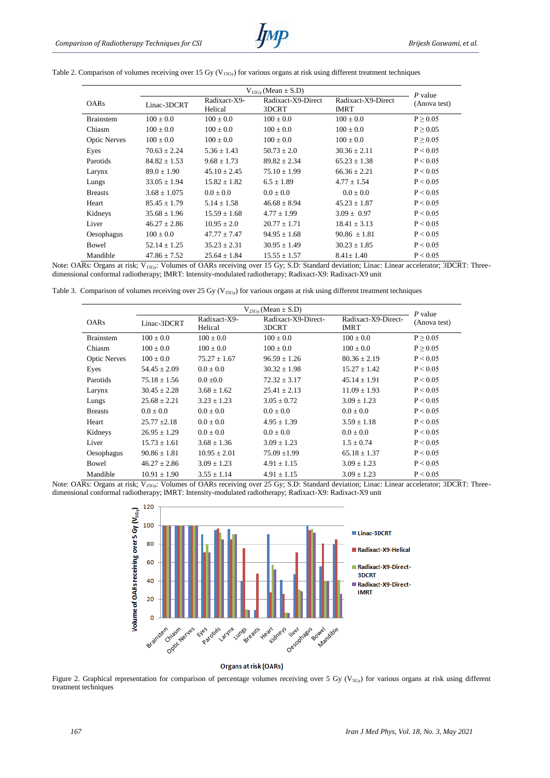|                     | $V_{15Gv}$ (Mean $\pm$ S.D) |                         |                             |                                   | P value       |  |
|---------------------|-----------------------------|-------------------------|-----------------------------|-----------------------------------|---------------|--|
| <b>OARs</b>         | Linac-3DCRT                 | Radixact-X9-<br>Helical | Radixact-X9-Direct<br>3DCRT | Radixact-X9-Direct<br><b>IMRT</b> | (Anova test)  |  |
| <b>Brainstem</b>    | $100 \pm 0.0$               | $100 \pm 0.0$           | $100 \pm 0.0$               | $100 \pm 0.0$                     | P > 0.05      |  |
| Chiasm              | $100 \pm 0.0$               | $100 \pm 0.0$           | $100 \pm 0.0$               | $100 \pm 0.0$                     | $P \geq 0.05$ |  |
| <b>Optic Nerves</b> | $100 \pm 0.0$               | $100 \pm 0.0$           | $100 \pm 0.0$               | $100 \pm 0.0$                     | P > 0.05      |  |
| Eyes                | $70.63 \pm 2.24$            | $5.36 \pm 1.43$         | $50.73 \pm 2.0$             | $30.36 \pm 2.11$                  | P < 0.05      |  |
| Parotids            | $84.82 \pm 1.53$            | $9.68 \pm 1.73$         | $89.82 \pm 2.34$            | $65.23 \pm 1.38$                  | P < 0.05      |  |
| Larynx              | $89.0 \pm 1.90$             | $45.10 \pm 2.45$        | $75.10 \pm 1.99$            | $66.36 \pm 2.21$                  | P < 0.05      |  |
| Lungs               | $33.05 \pm 1.94$            | $15.82 \pm 1.82$        | $6.5 \pm 1.89$              | $4.77 \pm 1.54$                   | P < 0.05      |  |
| <b>Breasts</b>      | $3.68 \pm 1.075$            | $0.0 \pm 0.0$           | $0.0 \pm 0.0$               | $0.0 \pm 0.0$                     | P < 0.05      |  |
| Heart               | $85.45 \pm 1.79$            | $5.14 \pm 1.58$         | $46.68 \pm 8.94$            | $45.23 \pm 1.87$                  | P < 0.05      |  |
| Kidneys             | $35.68 \pm 1.96$            | $15.59 \pm 1.68$        | $4.77 \pm 1.99$             | $3.09 \pm 0.97$                   | P < 0.05      |  |
| Liver               | $46.27 \pm 2.86$            | $10.95 \pm 2.0$         | $20.77 \pm 1.71$            | $18.41 \pm 3.13$                  | P < 0.05      |  |
| Oesophagus          | $100 \pm 0.0$               | $47.77 \pm 7.47$        | $94.95 \pm 1.68$            | $90.86 \pm 1.81$                  | P < 0.05      |  |
| Bowel               | $52.14 \pm 1.25$            | $35.23 \pm 2.31$        | $30.95 \pm 1.49$            | $30.23 \pm 1.85$                  | P < 0.05      |  |
| Mandible            | $47.86 \pm 7.52$            | $25.64 \pm 1.84$        | $15.55 \pm 1.57$            | $8.41 \pm 1.40$                   | P < 0.05      |  |

Table 2. Comparison of volumes receiving over 15 Gy (V<sub>15Gy</sub>) for various organs at risk using different treatment techniques

Note: OARs: Organs at risk; V<sub>15Gy</sub>: Volumes of OARs receiving over 15 Gy; S.D: Standard deviation; Linac: Linear accelerator; 3DCRT: Threedimensional conformal radiotherapy; IMRT: Intensity-modulated radiotherapy; Radixact-X9: Radixact-X9 unit

Table 3. Comparison of volumes receiving over 25 Gy ( $V_{25Gy}$ ) for various organs at risk using different treatment techniques

|                     | $V_{25Gy}$ (Mean $\pm$ S.D) |                         |                              |                                    | P value       |
|---------------------|-----------------------------|-------------------------|------------------------------|------------------------------------|---------------|
| <b>OARs</b>         | Linac-3DCRT                 | Radixact-X9-<br>Helical | Radixact-X9-Direct-<br>3DCRT | Radixact-X9-Direct-<br><b>IMRT</b> | (Anova test)  |
| <b>Brainstem</b>    | $100 \pm 0.0$               | $100 \pm 0.0$           | $100 \pm 0.0$                | $100 \pm 0.0$                      | $P \geq 0.05$ |
| Chiasm              | $100 \pm 0.0$               | $100 \pm 0.0$           | $100 \pm 0.0$                | $100 \pm 0.0$                      | P > 0.05      |
| <b>Optic Nerves</b> | $100 \pm 0.0$               | $75.27 + 1.67$          | $96.59 + 1.26$               | $80.36 \pm 2.19$                   | P < 0.05      |
| Eyes                | $54.45 \pm 2.09$            | $0.0 \pm 0.0$           | $30.32 \pm 1.98$             | $15.27 + 1.42$                     | P < 0.05      |
| Parotids            | $75.18 \pm 1.56$            | $0.0 \pm 0.0$           | $72.32 \pm 3.17$             | $45.14 \pm 1.91$                   | P < 0.05      |
| Larynx              | $30.45 \pm 2.28$            | $3.68 \pm 1.62$         | $25.41 + 2.13$               | $11.09 \pm 1.93$                   | P < 0.05      |
| Lungs               | $25.68 \pm 2.21$            | $3.23 \pm 1.23$         | $3.05 \pm 0.72$              | $3.09 \pm 1.23$                    | P < 0.05      |
| <b>Breasts</b>      | $0.0 \pm 0.0$               | $0.0 \pm 0.0$           | $0.0 \pm 0.0$                | $0.0 \pm 0.0$                      | P < 0.05      |
| Heart               | $25.77 \pm 2.18$            | $0.0 \pm 0.0$           | $4.95 \pm 1.39$              | $3.59 \pm 1.18$                    | P < 0.05      |
| Kidneys             | $26.95 \pm 1.29$            | $0.0 \pm 0.0$           | $0.0 \pm 0.0$                | $0.0 \pm 0.0$                      | P < 0.05      |
| Liver               | $15.73 \pm 1.61$            | $3.68 \pm 1.36$         | $3.09 \pm 1.23$              | $1.5 \pm 0.74$                     | P < 0.05      |
| Oesophagus          | $90.86 \pm 1.81$            | $10.95 \pm 2.01$        | $75.09 \pm 1.99$             | $65.18 \pm 1.37$                   | P < 0.05      |
| <b>Bowel</b>        | $46.27 \pm 2.86$            | $3.09 \pm 1.23$         | $4.91 \pm 1.15$              | $3.09 \pm 1.23$                    | P < 0.05      |
| Mandible            | $10.91 \pm 1.90$            | $3.55 \pm 1.14$         | $4.91 \pm 1.15$              | $3.09 \pm 1.23$                    | P < 0.05      |

Note: OARs: Organs at risk; V<sub>25Gy</sub>: Volumes of OARs receiving over 25 Gy; S.D: Standard deviation; Linac: Linear accelerator; 3DCRT: Threedimensional conformal radiotherapy; IMRT: Intensity-modulated radiotherapy; Radixact-X9: Radixact-X9 unit



Organs at risk (OARs)

Figure 2. Graphical representation for comparison of percentage volumes receiving over 5 Gy ( $V_{5Gy}$ ) for various organs at risk using different treatment techniques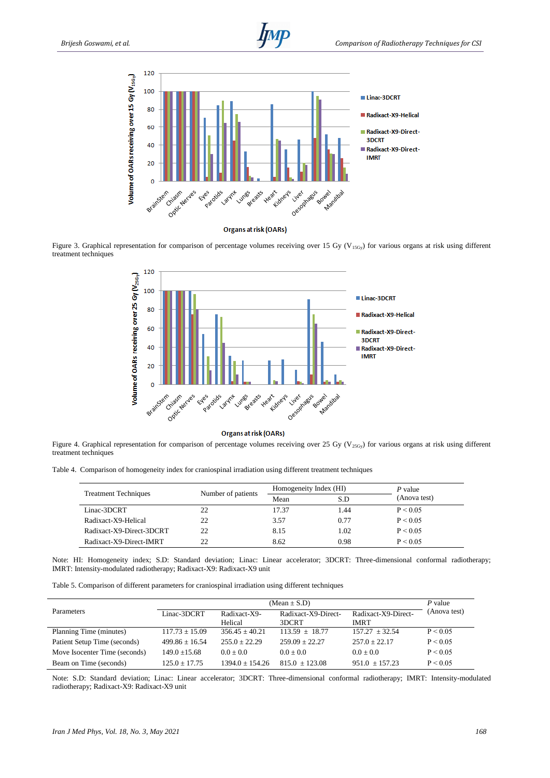



**Organs at risk (OARs)** 

Figure 3. Graphical representation for comparison of percentage volumes receiving over 15 Gy ( $V_{15Gy}$ ) for various organs at risk using different treatment techniques



Organs at risk (OARs)

Figure 4. Graphical representation for comparison of percentage volumes receiving over 25 Gy ( $V_{25Gy}$ ) for various organs at risk using different treatment techniques

Table 4. Comparison of homogeneity index for craniospinal irradiation using different treatment techniques

|                             |                    | Homogeneity Index (HI) |      | P value      |
|-----------------------------|--------------------|------------------------|------|--------------|
| <b>Treatment Techniques</b> | Number of patients | Mean                   |      | (Anova test) |
| Linac-3DCRT                 | 22                 | 17.37                  | .44  | P < 0.05     |
| Radixact-X9-Helical         | 22                 | 3.57                   | 0.77 | P < 0.05     |
| Radixact-X9-Direct-3DCRT    | 22                 | 8.15                   | 1.02 | P < 0.05     |
| Radixact-X9-Direct-IMRT     | 22                 | 8.62                   | 0.98 | P < 0.05     |

Note: HI: Homogeneity index; S.D: Standard deviation; Linac: Linear accelerator; 3DCRT: Three-dimensional conformal radiotherapy; IMRT: Intensity-modulated radiotherapy; Radixact-X9: Radixact-X9 unit

Table 5. Comparison of different parameters for craniospinal irradiation using different techniques

|                               |                    | P value                 |                              |                                    |              |
|-------------------------------|--------------------|-------------------------|------------------------------|------------------------------------|--------------|
| Parameters                    | Linac-3DCRT        | Radixact-X9-<br>Helical | Radixact-X9-Direct-<br>3DCRT | Radixact-X9-Direct-<br><b>IMRT</b> | (Anova test) |
| Planning Time (minutes)       | $117.73 \pm 15.09$ | $356.45 + 40.21$        | $113.59 + 18.77$             | $157.27 + 32.54$                   | P < 0.05     |
| Patient Setup Time (seconds)  | $499.86 + 16.54$   | $255.0 + 22.29$         | $259.09 + 22.27$             | $257.0 + 22.17$                    | P < 0.05     |
| Move Isocenter Time (seconds) | $149.0 + 15.68$    | $0.0 + 0.0$             | $0.0 + 0.0$                  | $0.0 + 0.0$                        | P < 0.05     |
| Beam on Time (seconds)        | $125.0 + 17.75$    | $1394.0 + 154.26$       | $815.0 + 123.08$             | $951.0 + 157.23$                   | P < 0.05     |

Note: S.D: Standard deviation; Linac: Linear accelerator; 3DCRT: Three-dimensional conformal radiotherapy; IMRT: Intensity-modulated radiotherapy; Radixact-X9: Radixact-X9 unit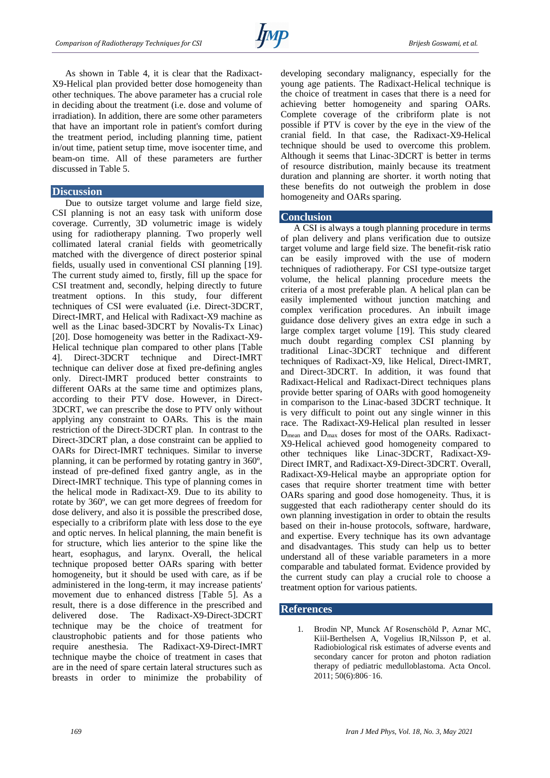

As shown in Table 4, it is clear that the Radixact-X9-Helical plan provided better dose homogeneity than other techniques. The above parameter has a crucial role in deciding about the treatment (i.e. dose and volume of irradiation). In addition, there are some other parameters that have an important role in patient's comfort during the treatment period, including planning time, patient in/out time, patient setup time, move isocenter time, and beam-on time. All of these parameters are further discussed in Table 5.

## **Discussion**

Due to outsize target volume and large field size, CSI planning is not an easy task with uniform dose coverage. Currently, 3D volumetric image is widely using for radiotherapy planning. Two properly well collimated lateral cranial fields with geometrically matched with the divergence of direct posterior spinal fields, usually used in conventional CSI planning [19]. The current study aimed to, firstly, fill up the space for CSI treatment and, secondly, helping directly to future treatment options. In this study, four different techniques of CSI were evaluated (i.e. Direct-3DCRT, Direct-IMRT, and Helical with Radixact-X9 machine as well as the Linac based-3DCRT by Novalis-Tx Linac) [20]. Dose homogeneity was better in the Radixact-X9- Helical technique plan compared to other plans [Table 4]. Direct-3DCRT technique and Direct-IMRT technique can deliver dose at fixed pre-defining angles only. Direct-IMRT produced better constraints to different OARs at the same time and optimizes plans, according to their PTV dose. However, in Direct-3DCRT, we can prescribe the dose to PTV only without applying any constraint to OARs. This is the main restriction of the Direct-3DCRT plan. In contrast to the Direct-3DCRT plan, a dose constraint can be applied to OARs for Direct-IMRT techniques. Similar to inverse planning, it can be performed by rotating gantry in 360º, instead of pre-defined fixed gantry angle, as in the Direct-IMRT technique. This type of planning comes in the helical mode in Radixact-X9. Due to its ability to rotate by 360º, we can get more degrees of freedom for dose delivery, and also it is possible the prescribed dose, especially to a cribriform plate with less dose to the eye and optic nerves. In helical planning, the main benefit is for structure, which lies anterior to the spine like the heart, esophagus, and larynx. Overall, the helical technique proposed better OARs sparing with better homogeneity, but it should be used with care, as if be administered in the long-term, it may increase patients' movement due to enhanced distress [Table 5]. As a result, there is a dose difference in the prescribed and delivered dose. The Radixact-X9-Direct-3DCRT technique may be the choice of treatment for claustrophobic patients and for those patients who require anesthesia. The Radixact-X9-Direct-IMRT technique maybe the choice of treatment in cases that are in the need of spare certain lateral structures such as breasts in order to minimize the probability of developing secondary malignancy, especially for the young age patients. The Radixact-Helical technique is the choice of treatment in cases that there is a need for achieving better homogeneity and sparing OARs. Complete coverage of the cribriform plate is not possible if PTV is cover by the eye in the view of the cranial field. In that case, the Radixact-X9-Helical technique should be used to overcome this problem. Although it seems that Linac-3DCRT is better in terms of resource distribution, mainly because its treatment duration and planning are shorter. it worth noting that these benefits do not outweigh the problem in dose homogeneity and OARs sparing.

## **Conclusion**

A CSI is always a tough planning procedure in terms of plan delivery and plans verification due to outsize target volume and large field size. The benefit-risk ratio can be easily improved with the use of modern techniques of radiotherapy. For CSI type-outsize target volume, the helical planning procedure meets the criteria of a most preferable plan. A helical plan can be easily implemented without junction matching and complex verification procedures. An inbuilt image guidance dose delivery gives an extra edge in such a large complex target volume [19]. This study cleared much doubt regarding complex CSI planning by traditional Linac-3DCRT technique and different techniques of Radixact-X9, like Helical, Direct-IMRT, and Direct-3DCRT. In addition, it was found that Radixact-Helical and Radixact-Direct techniques plans provide better sparing of OARs with good homogeneity in comparison to the Linac-based 3DCRT technique. It is very difficult to point out any single winner in this race. The Radixact-X9-Helical plan resulted in lesser Dmean and Dmax doses for most of the OARs. Radixact-X9-Helical achieved good homogeneity compared to other techniques like Linac-3DCRT, Radixact-X9- Direct IMRT, and Radixact-X9-Direct-3DCRT. Overall, Radixact-X9-Helical maybe an appropriate option for cases that require shorter treatment time with better OARs sparing and good dose homogeneity. Thus, it is suggested that each radiotherapy center should do its own planning investigation in order to obtain the results based on their in-house protocols, software, hardware, and expertise. Every technique has its own advantage and disadvantages. This study can help us to better understand all of these variable parameters in a more comparable and tabulated format. Evidence provided by the current study can play a crucial role to choose a treatment option for various patients.

#### **References**

1. Brodin NP, Munck Af Rosenschöld P, Aznar MC, Kiil-Berthelsen A, Vogelius IR,Nilsson P, et al. Radiobiological risk estimates of adverse events and secondary cancer for proton and photon radiation therapy of pediatric medulloblastoma. Acta Oncol. 2011; 50(6):806–16.